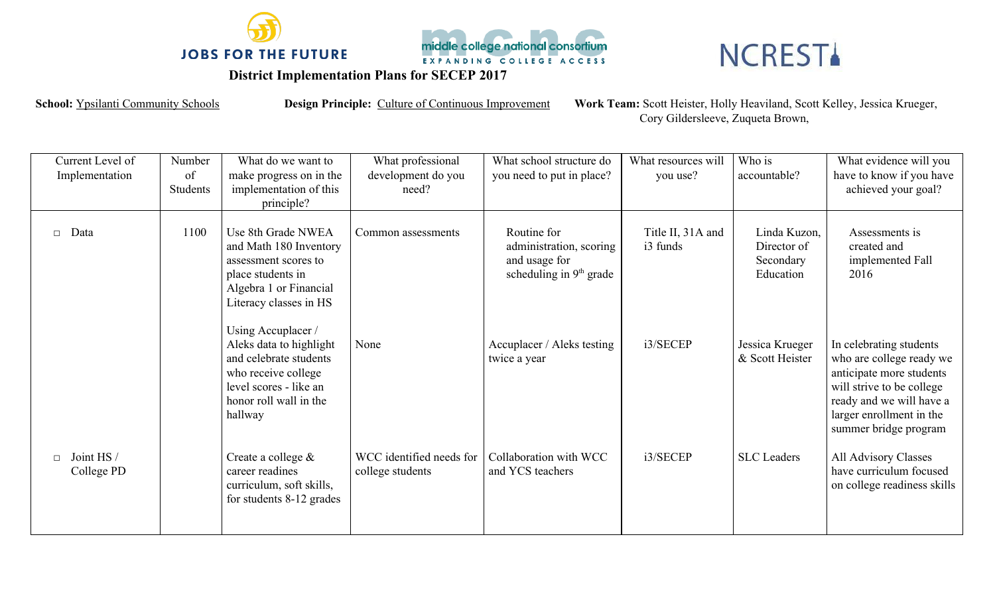



## **NCRESTA**

## **District Implementation Plans for SECEP 2017**

School: Ypsilanti Community Schools **Design Principle:** Culture of Continuous Improvement Work Team: Scott Heister, Holly Heaviland, Scott Kelley, Jessica Krueger, Cory Gildersleeve, Zuqueta Brown,

| Current Level of<br>Implementation | Number<br>of<br><b>Students</b> | What do we want to<br>make progress on in the<br>implementation of this<br>principle?                                                                         | What professional<br>development do you<br>need? | What school structure do<br>you need to put in place?                                          | What resources will<br>you use? | Who is<br>accountable?                                | What evidence will you<br>have to know if you have<br>achieved your goal?                                                                                                                     |
|------------------------------------|---------------------------------|---------------------------------------------------------------------------------------------------------------------------------------------------------------|--------------------------------------------------|------------------------------------------------------------------------------------------------|---------------------------------|-------------------------------------------------------|-----------------------------------------------------------------------------------------------------------------------------------------------------------------------------------------------|
| Data<br>$\Box$                     | 1100                            | Use 8th Grade NWEA<br>and Math 180 Inventory<br>assessment scores to<br>place students in<br>Algebra 1 or Financial<br>Literacy classes in HS                 | Common assessments                               | Routine for<br>administration, scoring<br>and usage for<br>scheduling in 9 <sup>th</sup> grade | Title II, 31A and<br>i3 funds   | Linda Kuzon,<br>Director of<br>Secondary<br>Education | Assessments is<br>created and<br>implemented Fall<br>2016                                                                                                                                     |
|                                    |                                 | Using Accuplacer /<br>Aleks data to highlight<br>and celebrate students<br>who receive college<br>level scores - like an<br>honor roll wall in the<br>hallway | None                                             | Accuplacer / Aleks testing<br>twice a year                                                     | i3/SECEP                        | Jessica Krueger<br>& Scott Heister                    | In celebrating students<br>who are college ready we<br>anticipate more students<br>will strive to be college<br>ready and we will have a<br>larger enrollment in the<br>summer bridge program |
| Joint HS /<br>n.<br>College PD     |                                 | Create a college $\&$<br>career readines<br>curriculum, soft skills,<br>for students 8-12 grades                                                              | WCC identified needs for<br>college students     | Collaboration with WCC<br>and YCS teachers                                                     | i3/SECEP                        | <b>SLC</b> Leaders                                    | All Advisory Classes<br>have curriculum focused<br>on college readiness skills                                                                                                                |